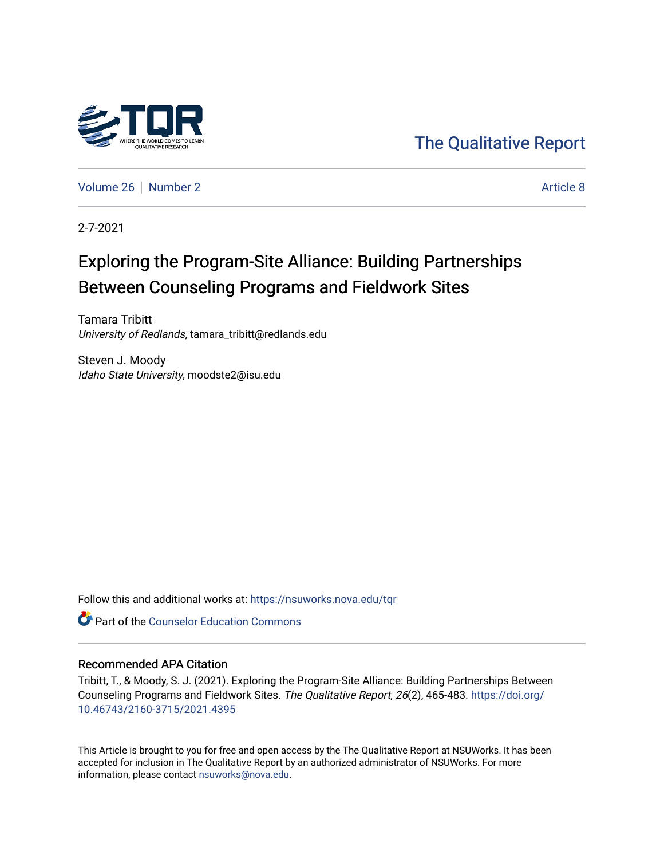

[The Qualitative Report](https://nsuworks.nova.edu/tqr) 

[Volume 26](https://nsuworks.nova.edu/tqr/vol26) [Number 2](https://nsuworks.nova.edu/tqr/vol26/iss2) Article 8

2-7-2021

# Exploring the Program-Site Alliance: Building Partnerships Between Counseling Programs and Fieldwork Sites

Tamara Tribitt University of Redlands, tamara\_tribitt@redlands.edu

Steven J. Moody Idaho State University, moodste2@isu.edu

Follow this and additional works at: [https://nsuworks.nova.edu/tqr](https://nsuworks.nova.edu/tqr?utm_source=nsuworks.nova.edu%2Ftqr%2Fvol26%2Fiss2%2F8&utm_medium=PDF&utm_campaign=PDFCoverPages) 

**C** Part of the Counselor Education Commons

#### Recommended APA Citation

Tribitt, T., & Moody, S. J. (2021). Exploring the Program-Site Alliance: Building Partnerships Between Counseling Programs and Fieldwork Sites. The Qualitative Report, 26(2), 465-483. [https://doi.org/](https://doi.org/10.46743/2160-3715/2021.4395) [10.46743/2160-3715/2021.4395](https://doi.org/10.46743/2160-3715/2021.4395)

This Article is brought to you for free and open access by the The Qualitative Report at NSUWorks. It has been accepted for inclusion in The Qualitative Report by an authorized administrator of NSUWorks. For more information, please contact [nsuworks@nova.edu.](mailto:nsuworks@nova.edu)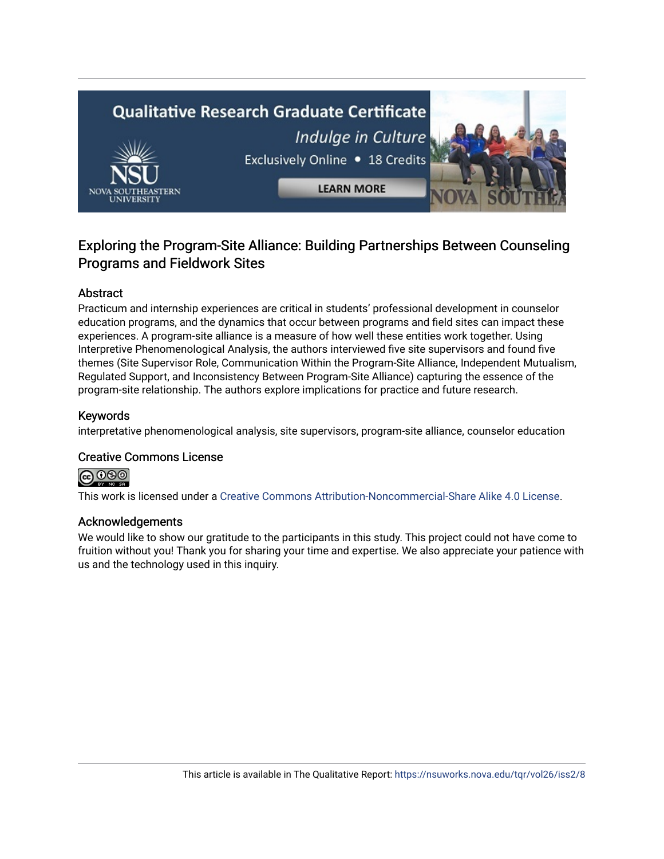# **Qualitative Research Graduate Certificate** Indulge in Culture Exclusively Online . 18 Credits **LEARN MORE**

### Exploring the Program-Site Alliance: Building Partnerships Between Counseling Programs and Fieldwork Sites

#### Abstract

Practicum and internship experiences are critical in students' professional development in counselor education programs, and the dynamics that occur between programs and field sites can impact these experiences. A program-site alliance is a measure of how well these entities work together. Using Interpretive Phenomenological Analysis, the authors interviewed five site supervisors and found five themes (Site Supervisor Role, Communication Within the Program-Site Alliance, Independent Mutualism, Regulated Support, and Inconsistency Between Program-Site Alliance) capturing the essence of the program-site relationship. The authors explore implications for practice and future research.

#### Keywords

interpretative phenomenological analysis, site supervisors, program-site alliance, counselor education

#### Creative Commons License



This work is licensed under a [Creative Commons Attribution-Noncommercial-Share Alike 4.0 License](https://creativecommons.org/licenses/by-nc-sa/4.0/).

#### Acknowledgements

We would like to show our gratitude to the participants in this study. This project could not have come to fruition without you! Thank you for sharing your time and expertise. We also appreciate your patience with us and the technology used in this inquiry.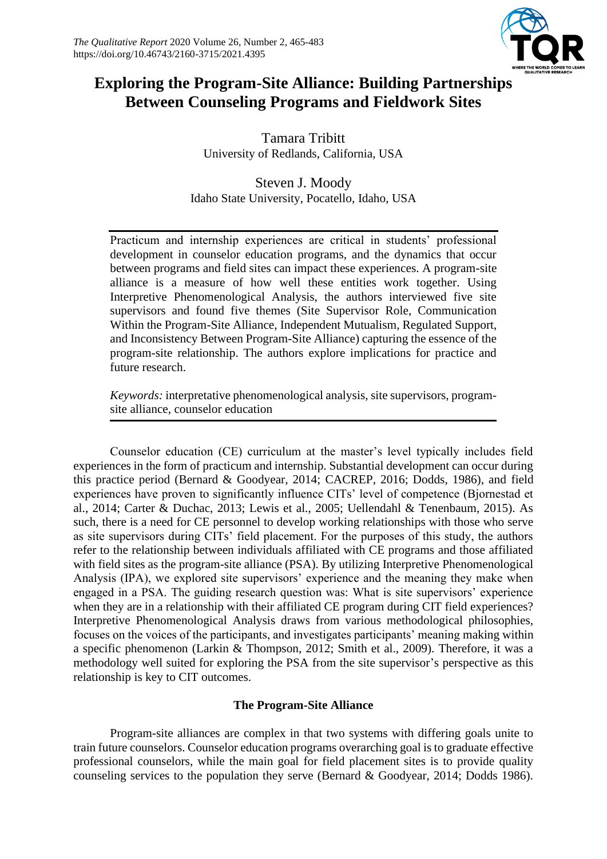

## **Exploring the Program-Site Alliance: Building Partnerships Between Counseling Programs and Fieldwork Sites**

Tamara Tribitt University of Redlands, California, USA

Steven J. Moody Idaho State University, Pocatello, Idaho, USA

Practicum and internship experiences are critical in students' professional development in counselor education programs, and the dynamics that occur between programs and field sites can impact these experiences. A program-site alliance is a measure of how well these entities work together. Using Interpretive Phenomenological Analysis, the authors interviewed five site supervisors and found five themes (Site Supervisor Role, Communication Within the Program-Site Alliance, Independent Mutualism, Regulated Support, and Inconsistency Between Program-Site Alliance) capturing the essence of the program-site relationship. The authors explore implications for practice and future research.

*Keywords:* interpretative phenomenological analysis, site supervisors, programsite alliance, counselor education

Counselor education (CE) curriculum at the master's level typically includes field experiences in the form of practicum and internship. Substantial development can occur during this practice period (Bernard & Goodyear, 2014; CACREP, 2016; Dodds, 1986), and field experiences have proven to significantly influence CITs' level of competence (Bjornestad et al., 2014; Carter & Duchac, 2013; Lewis et al., 2005; Uellendahl & Tenenbaum, 2015). As such, there is a need for CE personnel to develop working relationships with those who serve as site supervisors during CITs' field placement. For the purposes of this study, the authors refer to the relationship between individuals affiliated with CE programs and those affiliated with field sites as the program-site alliance (PSA). By utilizing Interpretive Phenomenological Analysis (IPA), we explored site supervisors' experience and the meaning they make when engaged in a PSA. The guiding research question was: What is site supervisors' experience when they are in a relationship with their affiliated CE program during CIT field experiences? Interpretive Phenomenological Analysis draws from various methodological philosophies, focuses on the voices of the participants, and investigates participants' meaning making within a specific phenomenon (Larkin & Thompson, 2012; Smith et al., 2009). Therefore, it was a methodology well suited for exploring the PSA from the site supervisor's perspective as this relationship is key to CIT outcomes.

#### **The Program-Site Alliance**

Program-site alliances are complex in that two systems with differing goals unite to train future counselors. Counselor education programs overarching goal is to graduate effective professional counselors, while the main goal for field placement sites is to provide quality counseling services to the population they serve (Bernard & Goodyear, 2014; Dodds 1986).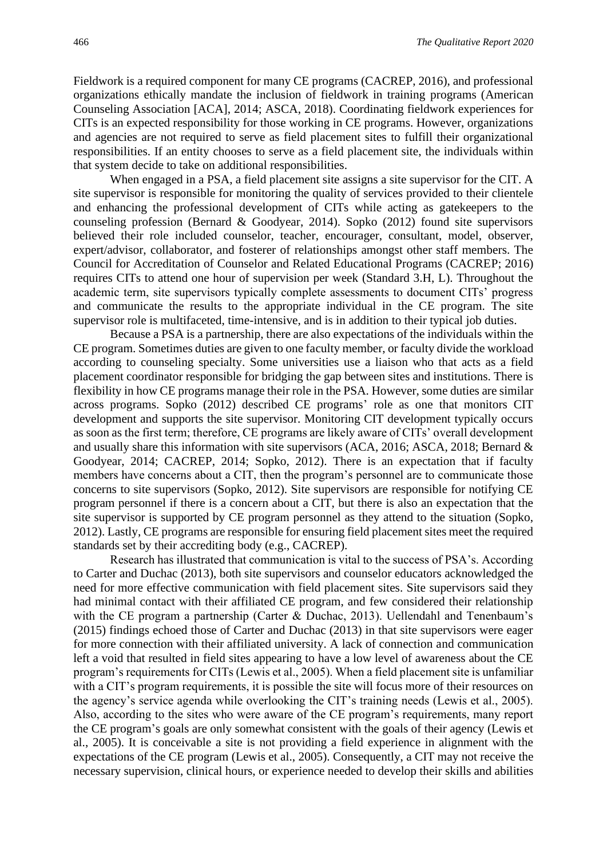Fieldwork is a required component for many CE programs (CACREP, 2016), and professional organizations ethically mandate the inclusion of fieldwork in training programs (American Counseling Association [ACA], 2014; ASCA, 2018). Coordinating fieldwork experiences for CITs is an expected responsibility for those working in CE programs. However, organizations and agencies are not required to serve as field placement sites to fulfill their organizational responsibilities. If an entity chooses to serve as a field placement site, the individuals within that system decide to take on additional responsibilities.

When engaged in a PSA, a field placement site assigns a site supervisor for the CIT. A site supervisor is responsible for monitoring the quality of services provided to their clientele and enhancing the professional development of CITs while acting as gatekeepers to the counseling profession (Bernard & Goodyear, 2014). Sopko (2012) found site supervisors believed their role included counselor, teacher, encourager, consultant, model, observer, expert/advisor, collaborator, and fosterer of relationships amongst other staff members. The Council for Accreditation of Counselor and Related Educational Programs (CACREP; 2016) requires CITs to attend one hour of supervision per week (Standard 3.H, L). Throughout the academic term, site supervisors typically complete assessments to document CITs' progress and communicate the results to the appropriate individual in the CE program. The site supervisor role is multifaceted, time-intensive, and is in addition to their typical job duties.

Because a PSA is a partnership, there are also expectations of the individuals within the CE program. Sometimes duties are given to one faculty member, or faculty divide the workload according to counseling specialty. Some universities use a liaison who that acts as a field placement coordinator responsible for bridging the gap between sites and institutions. There is flexibility in how CE programs manage their role in the PSA. However, some duties are similar across programs. Sopko (2012) described CE programs' role as one that monitors CIT development and supports the site supervisor. Monitoring CIT development typically occurs as soon as the first term; therefore, CE programs are likely aware of CITs' overall development and usually share this information with site supervisors (ACA, 2016; ASCA, 2018; Bernard & Goodyear, 2014; CACREP, 2014; Sopko, 2012). There is an expectation that if faculty members have concerns about a CIT, then the program's personnel are to communicate those concerns to site supervisors (Sopko, 2012). Site supervisors are responsible for notifying CE program personnel if there is a concern about a CIT, but there is also an expectation that the site supervisor is supported by CE program personnel as they attend to the situation (Sopko, 2012). Lastly, CE programs are responsible for ensuring field placement sites meet the required standards set by their accrediting body (e.g., CACREP).

Research has illustrated that communication is vital to the success of PSA's. According to Carter and Duchac (2013), both site supervisors and counselor educators acknowledged the need for more effective communication with field placement sites. Site supervisors said they had minimal contact with their affiliated CE program, and few considered their relationship with the CE program a partnership (Carter & Duchac, 2013). Uellendahl and Tenenbaum's (2015) findings echoed those of Carter and Duchac (2013) in that site supervisors were eager for more connection with their affiliated university. A lack of connection and communication left a void that resulted in field sites appearing to have a low level of awareness about the CE program's requirements for CITs (Lewis et al., 2005). When a field placement site is unfamiliar with a CIT's program requirements, it is possible the site will focus more of their resources on the agency's service agenda while overlooking the CIT's training needs (Lewis et al., 2005). Also, according to the sites who were aware of the CE program's requirements, many report the CE program's goals are only somewhat consistent with the goals of their agency (Lewis et al., 2005). It is conceivable a site is not providing a field experience in alignment with the expectations of the CE program (Lewis et al., 2005). Consequently, a CIT may not receive the necessary supervision, clinical hours, or experience needed to develop their skills and abilities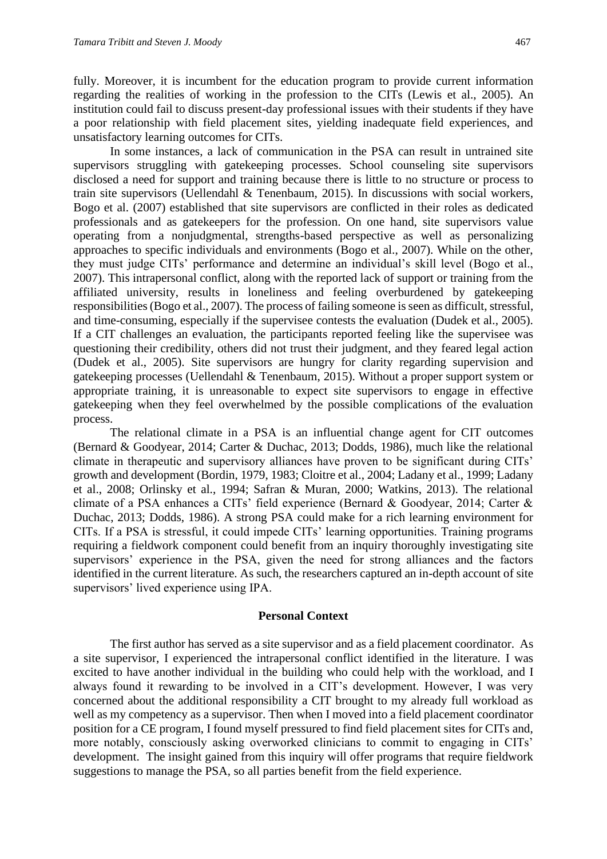fully. Moreover, it is incumbent for the education program to provide current information regarding the realities of working in the profession to the CITs (Lewis et al., 2005). An institution could fail to discuss present-day professional issues with their students if they have a poor relationship with field placement sites, yielding inadequate field experiences, and unsatisfactory learning outcomes for CITs.

In some instances, a lack of communication in the PSA can result in untrained site supervisors struggling with gatekeeping processes. School counseling site supervisors disclosed a need for support and training because there is little to no structure or process to train site supervisors (Uellendahl & Tenenbaum, 2015). In discussions with social workers, Bogo et al. (2007) established that site supervisors are conflicted in their roles as dedicated professionals and as gatekeepers for the profession. On one hand, site supervisors value operating from a nonjudgmental, strengths-based perspective as well as personalizing approaches to specific individuals and environments (Bogo et al., 2007). While on the other, they must judge CITs' performance and determine an individual's skill level (Bogo et al., 2007). This intrapersonal conflict, along with the reported lack of support or training from the affiliated university, results in loneliness and feeling overburdened by gatekeeping responsibilities (Bogo et al., 2007). The process of failing someone is seen as difficult, stressful, and time-consuming, especially if the supervisee contests the evaluation (Dudek et al., 2005). If a CIT challenges an evaluation, the participants reported feeling like the supervisee was questioning their credibility, others did not trust their judgment, and they feared legal action (Dudek et al., 2005). Site supervisors are hungry for clarity regarding supervision and gatekeeping processes (Uellendahl & Tenenbaum, 2015). Without a proper support system or appropriate training, it is unreasonable to expect site supervisors to engage in effective gatekeeping when they feel overwhelmed by the possible complications of the evaluation process.

The relational climate in a PSA is an influential change agent for CIT outcomes (Bernard & Goodyear, 2014; Carter & Duchac, 2013; Dodds, 1986), much like the relational climate in therapeutic and supervisory alliances have proven to be significant during CITs' growth and development (Bordin, 1979, 1983; Cloitre et al., 2004; Ladany et al., 1999; Ladany et al., 2008; Orlinsky et al., 1994; Safran & Muran, 2000; Watkins, 2013). The relational climate of a PSA enhances a CITs' field experience (Bernard & Goodyear, 2014; Carter & Duchac, 2013; Dodds, 1986). A strong PSA could make for a rich learning environment for CITs. If a PSA is stressful, it could impede CITs' learning opportunities. Training programs requiring a fieldwork component could benefit from an inquiry thoroughly investigating site supervisors' experience in the PSA, given the need for strong alliances and the factors identified in the current literature. As such, the researchers captured an in-depth account of site supervisors' lived experience using IPA.

#### **Personal Context**

The first author has served as a site supervisor and as a field placement coordinator. As a site supervisor, I experienced the intrapersonal conflict identified in the literature. I was excited to have another individual in the building who could help with the workload, and I always found it rewarding to be involved in a CIT's development. However, I was very concerned about the additional responsibility a CIT brought to my already full workload as well as my competency as a supervisor. Then when I moved into a field placement coordinator position for a CE program, I found myself pressured to find field placement sites for CITs and, more notably, consciously asking overworked clinicians to commit to engaging in CITs' development. The insight gained from this inquiry will offer programs that require fieldwork suggestions to manage the PSA, so all parties benefit from the field experience.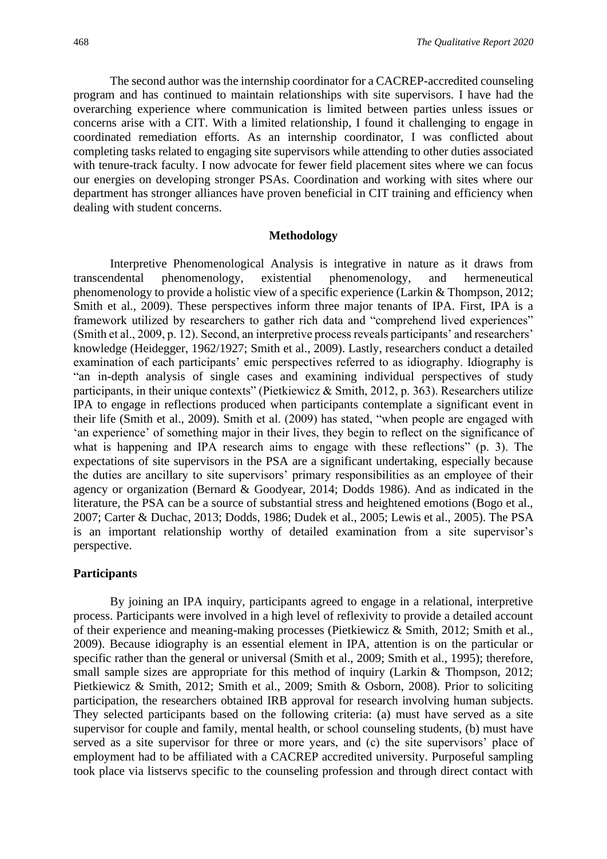The second author was the internship coordinator for a CACREP-accredited counseling program and has continued to maintain relationships with site supervisors. I have had the overarching experience where communication is limited between parties unless issues or concerns arise with a CIT. With a limited relationship, I found it challenging to engage in coordinated remediation efforts. As an internship coordinator, I was conflicted about completing tasks related to engaging site supervisors while attending to other duties associated with tenure-track faculty. I now advocate for fewer field placement sites where we can focus our energies on developing stronger PSAs. Coordination and working with sites where our department has stronger alliances have proven beneficial in CIT training and efficiency when dealing with student concerns.

#### **Methodology**

Interpretive Phenomenological Analysis is integrative in nature as it draws from transcendental phenomenology, existential phenomenology, and hermeneutical phenomenology to provide a holistic view of a specific experience (Larkin & Thompson, 2012; Smith et al., 2009). These perspectives inform three major tenants of IPA. First, IPA is a framework utilized by researchers to gather rich data and "comprehend lived experiences" (Smith et al., 2009, p. 12). Second, an interpretive process reveals participants' and researchers' knowledge (Heidegger, 1962/1927; Smith et al., 2009). Lastly, researchers conduct a detailed examination of each participants' emic perspectives referred to as idiography. Idiography is "an in-depth analysis of single cases and examining individual perspectives of study participants, in their unique contexts" (Pietkiewicz & Smith, 2012, p. 363). Researchers utilize IPA to engage in reflections produced when participants contemplate a significant event in their life (Smith et al., 2009). Smith et al. (2009) has stated, "when people are engaged with 'an experience' of something major in their lives, they begin to reflect on the significance of what is happening and IPA research aims to engage with these reflections" (p. 3). The expectations of site supervisors in the PSA are a significant undertaking, especially because the duties are ancillary to site supervisors' primary responsibilities as an employee of their agency or organization (Bernard & Goodyear, 2014; Dodds 1986). And as indicated in the literature, the PSA can be a source of substantial stress and heightened emotions (Bogo et al., 2007; Carter & Duchac, 2013; Dodds, 1986; Dudek et al., 2005; Lewis et al., 2005). The PSA is an important relationship worthy of detailed examination from a site supervisor's perspective.

#### **Participants**

By joining an IPA inquiry, participants agreed to engage in a relational, interpretive process. Participants were involved in a high level of reflexivity to provide a detailed account of their experience and meaning-making processes (Pietkiewicz & Smith, 2012; Smith et al., 2009). Because idiography is an essential element in IPA, attention is on the particular or specific rather than the general or universal (Smith et al., 2009; Smith et al., 1995); therefore, small sample sizes are appropriate for this method of inquiry (Larkin & Thompson, 2012; Pietkiewicz & Smith, 2012; Smith et al., 2009; Smith & Osborn, 2008). Prior to soliciting participation, the researchers obtained IRB approval for research involving human subjects. They selected participants based on the following criteria: (a) must have served as a site supervisor for couple and family, mental health, or school counseling students, (b) must have served as a site supervisor for three or more years, and (c) the site supervisors' place of employment had to be affiliated with a CACREP accredited university. Purposeful sampling took place via listservs specific to the counseling profession and through direct contact with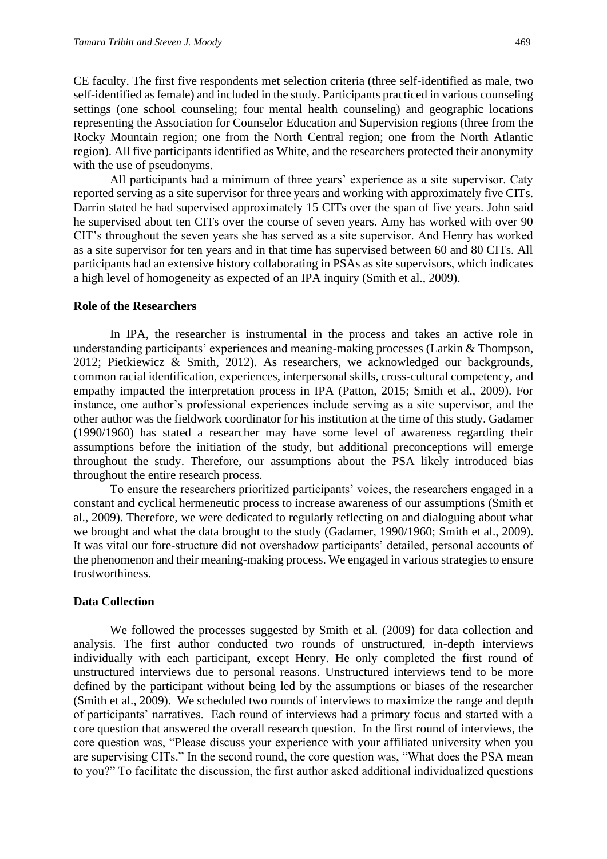CE faculty. The first five respondents met selection criteria (three self-identified as male, two self-identified as female) and included in the study. Participants practiced in various counseling settings (one school counseling; four mental health counseling) and geographic locations representing the Association for Counselor Education and Supervision regions (three from the Rocky Mountain region; one from the North Central region; one from the North Atlantic region). All five participants identified as White, and the researchers protected their anonymity with the use of pseudonyms.

All participants had a minimum of three years' experience as a site supervisor. Caty reported serving as a site supervisor for three years and working with approximately five CITs. Darrin stated he had supervised approximately 15 CITs over the span of five years. John said he supervised about ten CITs over the course of seven years. Amy has worked with over 90 CIT's throughout the seven years she has served as a site supervisor. And Henry has worked as a site supervisor for ten years and in that time has supervised between 60 and 80 CITs. All participants had an extensive history collaborating in PSAs as site supervisors, which indicates a high level of homogeneity as expected of an IPA inquiry (Smith et al., 2009).

#### **Role of the Researchers**

In IPA, the researcher is instrumental in the process and takes an active role in understanding participants' experiences and meaning-making processes (Larkin & Thompson, 2012; Pietkiewicz & Smith, 2012). As researchers, we acknowledged our backgrounds, common racial identification, experiences, interpersonal skills, cross-cultural competency, and empathy impacted the interpretation process in IPA (Patton, 2015; Smith et al., 2009). For instance, one author's professional experiences include serving as a site supervisor, and the other author was the fieldwork coordinator for his institution at the time of this study. Gadamer (1990/1960) has stated a researcher may have some level of awareness regarding their assumptions before the initiation of the study, but additional preconceptions will emerge throughout the study. Therefore, our assumptions about the PSA likely introduced bias throughout the entire research process.

To ensure the researchers prioritized participants' voices, the researchers engaged in a constant and cyclical hermeneutic process to increase awareness of our assumptions (Smith et al., 2009). Therefore, we were dedicated to regularly reflecting on and dialoguing about what we brought and what the data brought to the study (Gadamer, 1990/1960; Smith et al., 2009). It was vital our fore-structure did not overshadow participants' detailed, personal accounts of the phenomenon and their meaning-making process. We engaged in various strategies to ensure trustworthiness.

#### **Data Collection**

We followed the processes suggested by Smith et al. (2009) for data collection and analysis. The first author conducted two rounds of unstructured, in-depth interviews individually with each participant, except Henry. He only completed the first round of unstructured interviews due to personal reasons. Unstructured interviews tend to be more defined by the participant without being led by the assumptions or biases of the researcher (Smith et al., 2009). We scheduled two rounds of interviews to maximize the range and depth of participants' narratives. Each round of interviews had a primary focus and started with a core question that answered the overall research question. In the first round of interviews, the core question was, "Please discuss your experience with your affiliated university when you are supervising CITs." In the second round, the core question was, "What does the PSA mean to you?" To facilitate the discussion, the first author asked additional individualized questions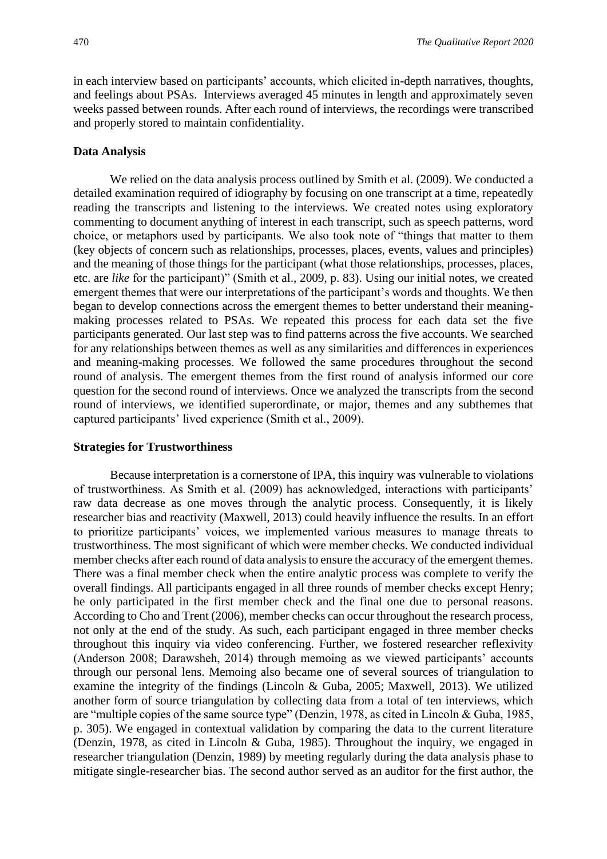in each interview based on participants' accounts, which elicited in-depth narratives, thoughts, and feelings about PSAs. Interviews averaged 45 minutes in length and approximately seven weeks passed between rounds. After each round of interviews, the recordings were transcribed and properly stored to maintain confidentiality.

#### **Data Analysis**

We relied on the data analysis process outlined by Smith et al. (2009). We conducted a detailed examination required of idiography by focusing on one transcript at a time, repeatedly reading the transcripts and listening to the interviews. We created notes using exploratory commenting to document anything of interest in each transcript, such as speech patterns, word choice, or metaphors used by participants. We also took note of "things that matter to them (key objects of concern such as relationships, processes, places, events, values and principles) and the meaning of those things for the participant (what those relationships, processes, places, etc. are *like* for the participant)" (Smith et al., 2009, p. 83). Using our initial notes, we created emergent themes that were our interpretations of the participant's words and thoughts. We then began to develop connections across the emergent themes to better understand their meaningmaking processes related to PSAs. We repeated this process for each data set the five participants generated. Our last step was to find patterns across the five accounts. We searched for any relationships between themes as well as any similarities and differences in experiences and meaning-making processes. We followed the same procedures throughout the second round of analysis. The emergent themes from the first round of analysis informed our core question for the second round of interviews. Once we analyzed the transcripts from the second round of interviews, we identified superordinate, or major, themes and any subthemes that captured participants' lived experience (Smith et al., 2009).

#### **Strategies for Trustworthiness**

Because interpretation is a cornerstone of IPA, this inquiry was vulnerable to violations of trustworthiness. As Smith et al. (2009) has acknowledged, interactions with participants' raw data decrease as one moves through the analytic process. Consequently, it is likely researcher bias and reactivity (Maxwell, 2013) could heavily influence the results. In an effort to prioritize participants' voices, we implemented various measures to manage threats to trustworthiness. The most significant of which were member checks. We conducted individual member checks after each round of data analysis to ensure the accuracy of the emergent themes. There was a final member check when the entire analytic process was complete to verify the overall findings. All participants engaged in all three rounds of member checks except Henry; he only participated in the first member check and the final one due to personal reasons. According to Cho and Trent (2006), member checks can occur throughout the research process, not only at the end of the study. As such, each participant engaged in three member checks throughout this inquiry via video conferencing. Further, we fostered researcher reflexivity (Anderson 2008; Darawsheh, 2014) through memoing as we viewed participants' accounts through our personal lens. Memoing also became one of several sources of triangulation to examine the integrity of the findings (Lincoln & Guba, 2005; Maxwell, 2013). We utilized another form of source triangulation by collecting data from a total of ten interviews, which are "multiple copies of the same source type" (Denzin, 1978, as cited in Lincoln & Guba, 1985, p. 305). We engaged in contextual validation by comparing the data to the current literature (Denzin, 1978, as cited in Lincoln & Guba, 1985). Throughout the inquiry, we engaged in researcher triangulation (Denzin, 1989) by meeting regularly during the data analysis phase to mitigate single-researcher bias. The second author served as an auditor for the first author, the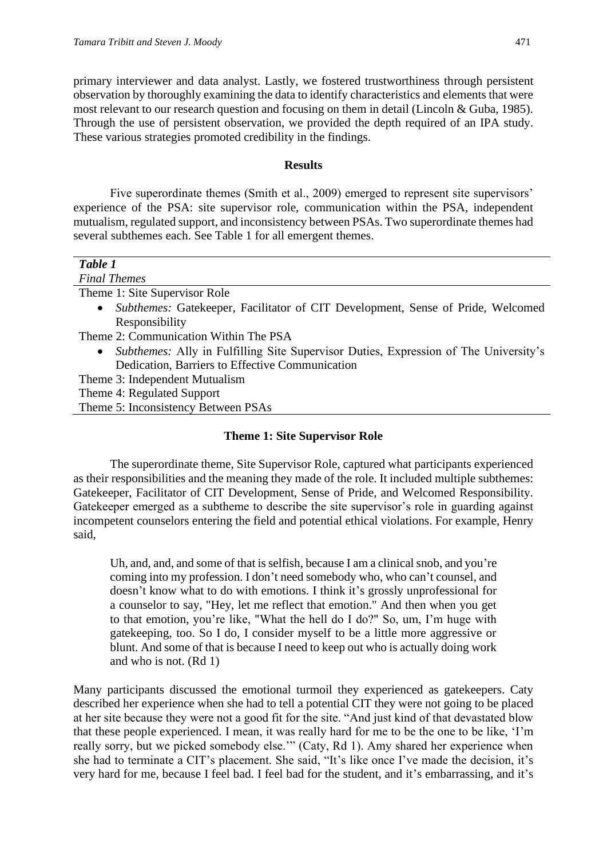primary interviewer and data analyst. Lastly, we fostered trustworthiness through persistent observation by thoroughly examining the data to identify characteristics and elements that were most relevant to our research question and focusing on them in detail (Lincoln & Guba, 1985). Through the use of persistent observation, we provided the depth required of an IPA study. These various strategies promoted credibility in the findings.

#### **Results**

Five superordinate themes (Smith et al., 2009) emerged to represent site supervisors' experience of the PSA: site supervisor role, communication within the PSA, independent mutualism, regulated support, and inconsistency between PSAs. Two superordinate themes had several subthemes each. See Table 1 for all emergent themes.

| Table 1                                                                                             |
|-----------------------------------------------------------------------------------------------------|
| <b>Final Themes</b>                                                                                 |
| Theme 1: Site Supervisor Role                                                                       |
| <i>Subthemes:</i> Gatekeeper, Facilitator of CIT Development, Sense of Pride, Welcomed<br>$\bullet$ |
| Responsibility                                                                                      |
| Theme 2: Communication Within The PSA                                                               |
| Subthemes: Ally in Fulfilling Site Supervisor Duties, Expression of The University's<br>$\bullet$   |
| Dedication, Barriers to Effective Communication                                                     |
| Theme 3: Independent Mutualism                                                                      |
| Theme 4: Regulated Support                                                                          |
| Theme 5: Inconsistency Between PSAs                                                                 |
|                                                                                                     |

#### **Theme 1: Site Supervisor Role**

The superordinate theme, Site Supervisor Role, captured what participants experienced as their responsibilities and the meaning they made of the role. It included multiple subthemes: Gatekeeper, Facilitator of CIT Development, Sense of Pride, and Welcomed Responsibility. Gatekeeper emerged as a subtheme to describe the site supervisor's role in guarding against incompetent counselors entering the field and potential ethical violations. For example, Henry said,

Uh, and, and, and some of that is selfish, because I am a clinical snob, and you're coming into my profession. I don't need somebody who, who can't counsel, and doesn't know what to do with emotions. I think it's grossly unprofessional for a counselor to say, "Hey, let me reflect that emotion." And then when you get to that emotion, you're like, "What the hell do I do?" So, um, I'm huge with gatekeeping, too. So I do, I consider myself to be a little more aggressive or blunt. And some of that is because I need to keep out who is actually doing work and who is not. (Rd 1)

Many participants discussed the emotional turmoil they experienced as gatekeepers. Caty described her experience when she had to tell a potential CIT they were not going to be placed at her site because they were not a good fit for the site. "And just kind of that devastated blow that these people experienced. I mean, it was really hard for me to be the one to be like, 'I'm really sorry, but we picked somebody else.'" (Caty, Rd 1). Amy shared her experience when she had to terminate a CIT's placement. She said, "It's like once I've made the decision, it's very hard for me, because I feel bad. I feel bad for the student, and it's embarrassing, and it's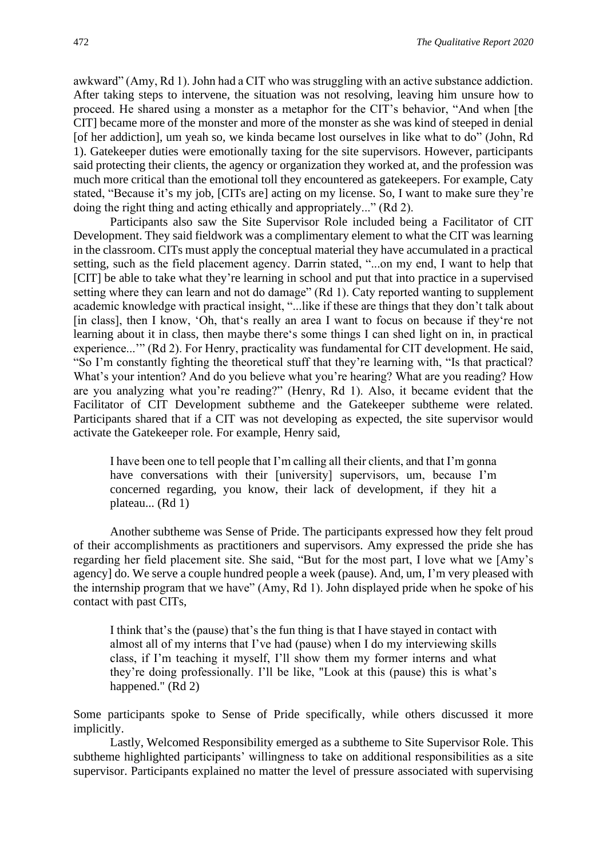awkward" (Amy, Rd 1). John had a CIT who was struggling with an active substance addiction. After taking steps to intervene, the situation was not resolving, leaving him unsure how to proceed. He shared using a monster as a metaphor for the CIT's behavior, "And when [the CIT] became more of the monster and more of the monster as she was kind of steeped in denial [of her addiction], um yeah so, we kinda became lost ourselves in like what to do" (John, Rd 1). Gatekeeper duties were emotionally taxing for the site supervisors. However, participants said protecting their clients, the agency or organization they worked at, and the profession was much more critical than the emotional toll they encountered as gatekeepers. For example, Caty stated, "Because it's my job, [CITs are] acting on my license. So, I want to make sure they're doing the right thing and acting ethically and appropriately..." (Rd 2).

Participants also saw the Site Supervisor Role included being a Facilitator of CIT Development. They said fieldwork was a complimentary element to what the CIT was learning in the classroom. CITs must apply the conceptual material they have accumulated in a practical setting, such as the field placement agency. Darrin stated, "...on my end, I want to help that [CIT] be able to take what they're learning in school and put that into practice in a supervised setting where they can learn and not do damage" (Rd 1). Caty reported wanting to supplement academic knowledge with practical insight, "...like if these are things that they don't talk about [in class], then I know, 'Oh, that's really an area I want to focus on because if they're not learning about it in class, then maybe there's some things I can shed light on in, in practical experience...'" (Rd 2). For Henry, practicality was fundamental for CIT development. He said, "So I'm constantly fighting the theoretical stuff that they're learning with, "Is that practical? What's your intention? And do you believe what you're hearing? What are you reading? How are you analyzing what you're reading?" (Henry, Rd 1). Also, it became evident that the Facilitator of CIT Development subtheme and the Gatekeeper subtheme were related. Participants shared that if a CIT was not developing as expected, the site supervisor would activate the Gatekeeper role. For example, Henry said,

I have been one to tell people that I'm calling all their clients, and that I'm gonna have conversations with their [university] supervisors, um, because I'm concerned regarding, you know, their lack of development, if they hit a plateau... (Rd 1)

Another subtheme was Sense of Pride. The participants expressed how they felt proud of their accomplishments as practitioners and supervisors. Amy expressed the pride she has regarding her field placement site. She said, "But for the most part, I love what we [Amy's agency] do. We serve a couple hundred people a week (pause). And, um, I'm very pleased with the internship program that we have" (Amy, Rd 1). John displayed pride when he spoke of his contact with past CITs,

I think that's the (pause) that's the fun thing is that I have stayed in contact with almost all of my interns that I've had (pause) when I do my interviewing skills class, if I'm teaching it myself, I'll show them my former interns and what they're doing professionally. I'll be like, "Look at this (pause) this is what's happened." (Rd 2)

Some participants spoke to Sense of Pride specifically, while others discussed it more implicitly.

Lastly, Welcomed Responsibility emerged as a subtheme to Site Supervisor Role. This subtheme highlighted participants' willingness to take on additional responsibilities as a site supervisor. Participants explained no matter the level of pressure associated with supervising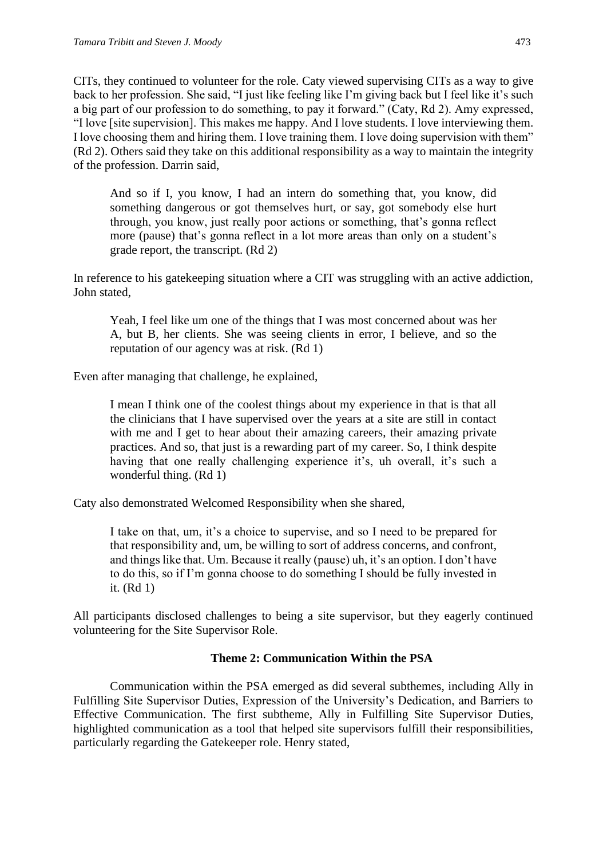CITs, they continued to volunteer for the role. Caty viewed supervising CITs as a way to give back to her profession. She said, "I just like feeling like I'm giving back but I feel like it's such a big part of our profession to do something, to pay it forward." (Caty, Rd 2). Amy expressed, "I love [site supervision]. This makes me happy. And I love students. I love interviewing them. I love choosing them and hiring them. I love training them. I love doing supervision with them" (Rd 2). Others said they take on this additional responsibility as a way to maintain the integrity of the profession. Darrin said,

And so if I, you know, I had an intern do something that, you know, did something dangerous or got themselves hurt, or say, got somebody else hurt through, you know, just really poor actions or something, that's gonna reflect more (pause) that's gonna reflect in a lot more areas than only on a student's grade report, the transcript. (Rd 2)

In reference to his gatekeeping situation where a CIT was struggling with an active addiction, John stated,

Yeah, I feel like um one of the things that I was most concerned about was her A, but B, her clients. She was seeing clients in error, I believe, and so the reputation of our agency was at risk. (Rd 1)

Even after managing that challenge, he explained,

I mean I think one of the coolest things about my experience in that is that all the clinicians that I have supervised over the years at a site are still in contact with me and I get to hear about their amazing careers, their amazing private practices. And so, that just is a rewarding part of my career. So, I think despite having that one really challenging experience it's, uh overall, it's such a wonderful thing. (Rd 1)

Caty also demonstrated Welcomed Responsibility when she shared,

I take on that, um, it's a choice to supervise, and so I need to be prepared for that responsibility and, um, be willing to sort of address concerns, and confront, and things like that. Um. Because it really (pause) uh, it's an option. I don't have to do this, so if I'm gonna choose to do something I should be fully invested in it. (Rd 1)

All participants disclosed challenges to being a site supervisor, but they eagerly continued volunteering for the Site Supervisor Role.

#### **Theme 2: Communication Within the PSA**

Communication within the PSA emerged as did several subthemes, including Ally in Fulfilling Site Supervisor Duties, Expression of the University's Dedication, and Barriers to Effective Communication. The first subtheme, Ally in Fulfilling Site Supervisor Duties, highlighted communication as a tool that helped site supervisors fulfill their responsibilities, particularly regarding the Gatekeeper role. Henry stated,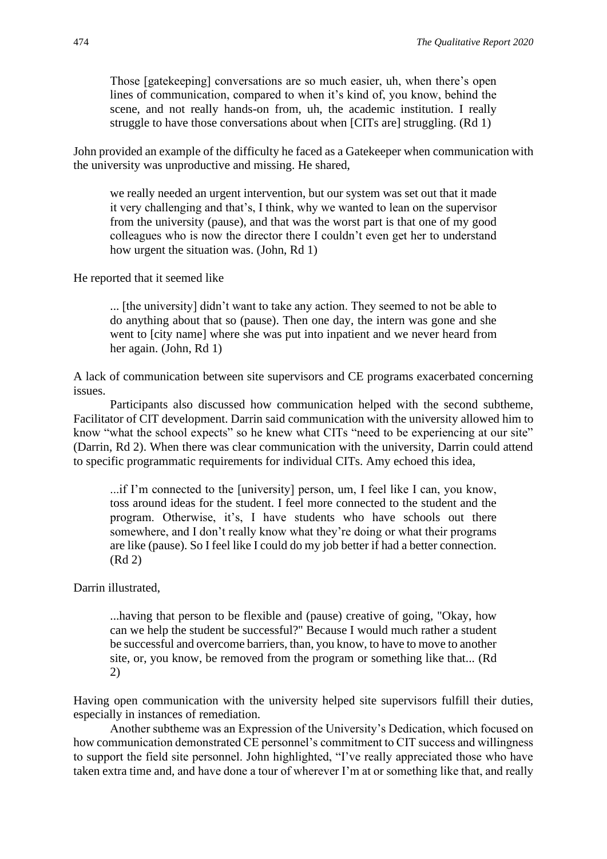Those [gatekeeping] conversations are so much easier, uh, when there's open lines of communication, compared to when it's kind of, you know, behind the scene, and not really hands-on from, uh, the academic institution. I really struggle to have those conversations about when [CITs are] struggling. (Rd 1)

John provided an example of the difficulty he faced as a Gatekeeper when communication with the university was unproductive and missing. He shared,

we really needed an urgent intervention, but our system was set out that it made it very challenging and that's, I think, why we wanted to lean on the supervisor from the university (pause), and that was the worst part is that one of my good colleagues who is now the director there I couldn't even get her to understand how urgent the situation was. (John, Rd 1)

He reported that it seemed like

... [the university] didn't want to take any action. They seemed to not be able to do anything about that so (pause). Then one day, the intern was gone and she went to [city name] where she was put into inpatient and we never heard from her again. (John, Rd 1)

A lack of communication between site supervisors and CE programs exacerbated concerning issues.

Participants also discussed how communication helped with the second subtheme, Facilitator of CIT development. Darrin said communication with the university allowed him to know "what the school expects" so he knew what CITs "need to be experiencing at our site" (Darrin, Rd 2). When there was clear communication with the university, Darrin could attend to specific programmatic requirements for individual CITs. Amy echoed this idea,

...if I'm connected to the [university] person, um, I feel like I can, you know, toss around ideas for the student. I feel more connected to the student and the program. Otherwise, it's, I have students who have schools out there somewhere, and I don't really know what they're doing or what their programs are like (pause). So I feel like I could do my job better if had a better connection. (Rd 2)

Darrin illustrated,

...having that person to be flexible and (pause) creative of going, "Okay, how can we help the student be successful?" Because I would much rather a student be successful and overcome barriers, than, you know, to have to move to another site, or, you know, be removed from the program or something like that... (Rd 2)

Having open communication with the university helped site supervisors fulfill their duties, especially in instances of remediation.

Another subtheme was an Expression of the University's Dedication, which focused on how communication demonstrated CE personnel's commitment to CIT success and willingness to support the field site personnel. John highlighted, "I've really appreciated those who have taken extra time and, and have done a tour of wherever I'm at or something like that, and really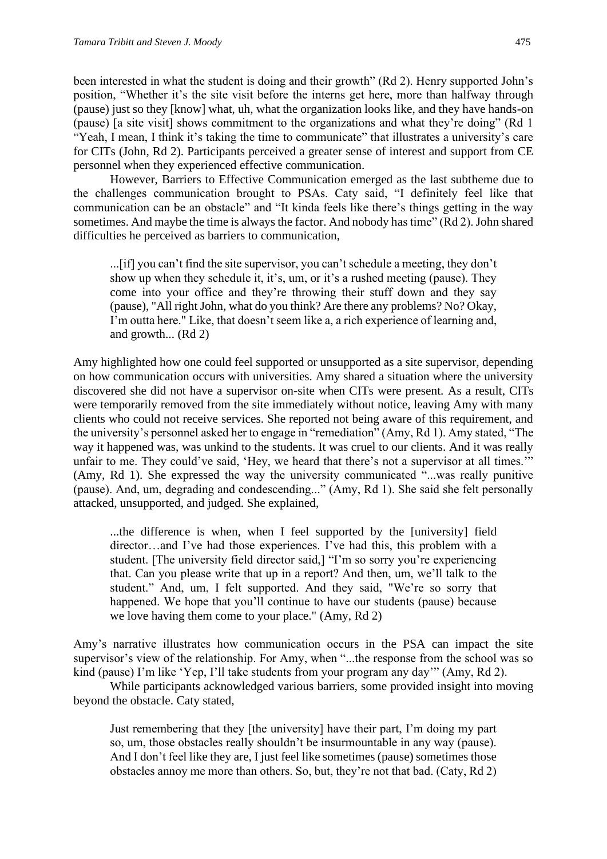been interested in what the student is doing and their growth" (Rd 2). Henry supported John's position, "Whether it's the site visit before the interns get here, more than halfway through (pause) just so they [know] what, uh, what the organization looks like, and they have hands-on (pause) [a site visit] shows commitment to the organizations and what they're doing" (Rd 1 "Yeah, I mean, I think it's taking the time to communicate" that illustrates a university's care for CITs (John, Rd 2). Participants perceived a greater sense of interest and support from CE personnel when they experienced effective communication.

However, Barriers to Effective Communication emerged as the last subtheme due to the challenges communication brought to PSAs. Caty said, "I definitely feel like that communication can be an obstacle" and "It kinda feels like there's things getting in the way sometimes. And maybe the time is always the factor. And nobody has time" (Rd 2). John shared difficulties he perceived as barriers to communication,

...[if] you can't find the site supervisor, you can't schedule a meeting, they don't show up when they schedule it, it's, um, or it's a rushed meeting (pause). They come into your office and they're throwing their stuff down and they say (pause), "All right John, what do you think? Are there any problems? No? Okay, I'm outta here." Like, that doesn't seem like a, a rich experience of learning and, and growth... (Rd 2)

Amy highlighted how one could feel supported or unsupported as a site supervisor, depending on how communication occurs with universities. Amy shared a situation where the university discovered she did not have a supervisor on-site when CITs were present. As a result, CITs were temporarily removed from the site immediately without notice, leaving Amy with many clients who could not receive services. She reported not being aware of this requirement, and the university's personnel asked her to engage in "remediation" (Amy, Rd 1). Amy stated, "The way it happened was, was unkind to the students. It was cruel to our clients. And it was really unfair to me. They could've said, 'Hey, we heard that there's not a supervisor at all times.'" (Amy, Rd 1). She expressed the way the university communicated "...was really punitive (pause). And, um, degrading and condescending..." (Amy, Rd 1). She said she felt personally attacked, unsupported, and judged. She explained,

...the difference is when, when I feel supported by the [university] field director…and I've had those experiences. I've had this, this problem with a student. [The university field director said,] "I'm so sorry you're experiencing that. Can you please write that up in a report? And then, um, we'll talk to the student." And, um, I felt supported. And they said, "We're so sorry that happened. We hope that you'll continue to have our students (pause) because we love having them come to your place." (Amy, Rd 2)

Amy's narrative illustrates how communication occurs in the PSA can impact the site supervisor's view of the relationship. For Amy, when "...the response from the school was so kind (pause) I'm like 'Yep, I'll take students from your program any day'" (Amy, Rd 2).

While participants acknowledged various barriers, some provided insight into moving beyond the obstacle. Caty stated,

Just remembering that they [the university] have their part, I'm doing my part so, um, those obstacles really shouldn't be insurmountable in any way (pause). And I don't feel like they are, I just feel like sometimes (pause) sometimes those obstacles annoy me more than others. So, but, they're not that bad. (Caty, Rd 2)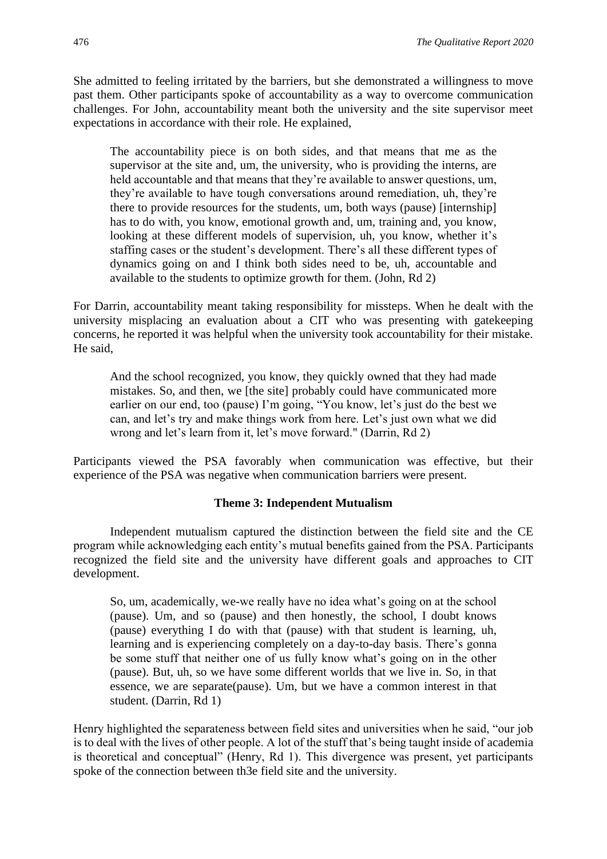She admitted to feeling irritated by the barriers, but she demonstrated a willingness to move past them. Other participants spoke of accountability as a way to overcome communication challenges. For John, accountability meant both the university and the site supervisor meet expectations in accordance with their role. He explained,

The accountability piece is on both sides, and that means that me as the supervisor at the site and, um, the university, who is providing the interns, are held accountable and that means that they're available to answer questions, um, they're available to have tough conversations around remediation, uh, they're there to provide resources for the students, um, both ways (pause) [internship] has to do with, you know, emotional growth and, um, training and, you know, looking at these different models of supervision, uh, you know, whether it's staffing cases or the student's development. There's all these different types of dynamics going on and I think both sides need to be, uh, accountable and available to the students to optimize growth for them. (John, Rd 2)

For Darrin, accountability meant taking responsibility for missteps. When he dealt with the university misplacing an evaluation about a CIT who was presenting with gatekeeping concerns, he reported it was helpful when the university took accountability for their mistake. He said,

And the school recognized, you know, they quickly owned that they had made mistakes. So, and then, we [the site] probably could have communicated more earlier on our end, too (pause) I'm going, "You know, let's just do the best we can, and let's try and make things work from here. Let's just own what we did wrong and let's learn from it, let's move forward." (Darrin, Rd 2)

Participants viewed the PSA favorably when communication was effective, but their experience of the PSA was negative when communication barriers were present.

#### **Theme 3: Independent Mutualism**

Independent mutualism captured the distinction between the field site and the CE program while acknowledging each entity's mutual benefits gained from the PSA. Participants recognized the field site and the university have different goals and approaches to CIT development.

So, um, academically, we-we really have no idea what's going on at the school (pause). Um, and so (pause) and then honestly, the school, I doubt knows (pause) everything I do with that (pause) with that student is learning, uh, learning and is experiencing completely on a day-to-day basis. There's gonna be some stuff that neither one of us fully know what's going on in the other (pause). But, uh, so we have some different worlds that we live in. So, in that essence, we are separate(pause). Um, but we have a common interest in that student. (Darrin, Rd 1)

Henry highlighted the separateness between field sites and universities when he said, "our job is to deal with the lives of other people. A lot of the stuff that's being taught inside of academia is theoretical and conceptual" (Henry, Rd 1). This divergence was present, yet participants spoke of the connection between th3e field site and the university.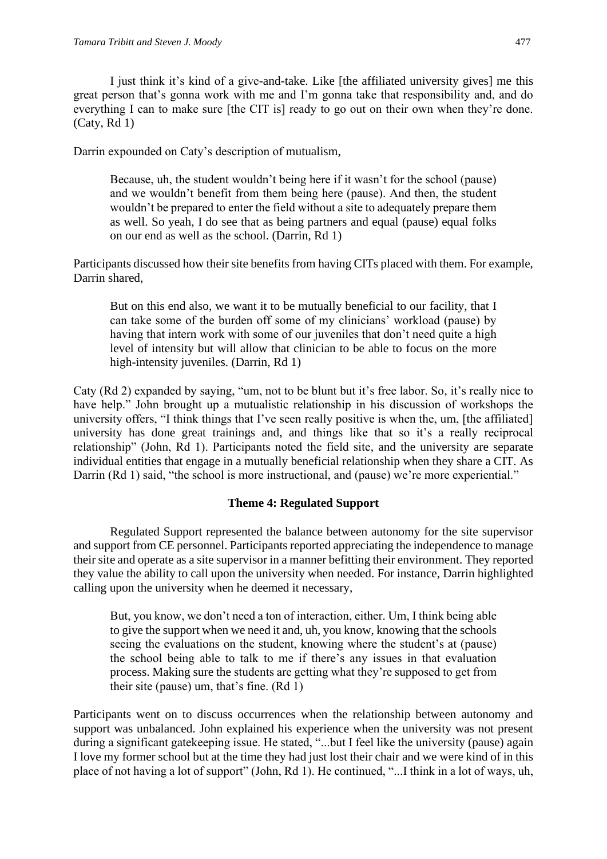I just think it's kind of a give-and-take. Like [the affiliated university gives] me this great person that's gonna work with me and I'm gonna take that responsibility and, and do everything I can to make sure [the CIT is] ready to go out on their own when they're done. (Caty, Rd 1)

Darrin expounded on Caty's description of mutualism,

Because, uh, the student wouldn't being here if it wasn't for the school (pause) and we wouldn't benefit from them being here (pause). And then, the student wouldn't be prepared to enter the field without a site to adequately prepare them as well. So yeah, I do see that as being partners and equal (pause) equal folks on our end as well as the school. (Darrin, Rd 1)

Participants discussed how their site benefits from having CITs placed with them. For example, Darrin shared,

But on this end also, we want it to be mutually beneficial to our facility, that I can take some of the burden off some of my clinicians' workload (pause) by having that intern work with some of our juveniles that don't need quite a high level of intensity but will allow that clinician to be able to focus on the more high-intensity juveniles. (Darrin, Rd 1)

Caty (Rd 2) expanded by saying, "um, not to be blunt but it's free labor. So, it's really nice to have help." John brought up a mutualistic relationship in his discussion of workshops the university offers, "I think things that I've seen really positive is when the, um, [the affiliated] university has done great trainings and, and things like that so it's a really reciprocal relationship" (John, Rd 1). Participants noted the field site, and the university are separate individual entities that engage in a mutually beneficial relationship when they share a CIT. As Darrin (Rd 1) said, "the school is more instructional, and (pause) we're more experiential."

#### **Theme 4: Regulated Support**

Regulated Support represented the balance between autonomy for the site supervisor and support from CE personnel. Participants reported appreciating the independence to manage their site and operate as a site supervisor in a manner befitting their environment. They reported they value the ability to call upon the university when needed. For instance, Darrin highlighted calling upon the university when he deemed it necessary,

But, you know, we don't need a ton of interaction, either. Um, I think being able to give the support when we need it and, uh, you know, knowing that the schools seeing the evaluations on the student, knowing where the student's at (pause) the school being able to talk to me if there's any issues in that evaluation process. Making sure the students are getting what they're supposed to get from their site (pause) um, that's fine. (Rd 1)

Participants went on to discuss occurrences when the relationship between autonomy and support was unbalanced. John explained his experience when the university was not present during a significant gatekeeping issue. He stated, "...but I feel like the university (pause) again I love my former school but at the time they had just lost their chair and we were kind of in this place of not having a lot of support" (John, Rd 1). He continued, "...I think in a lot of ways, uh,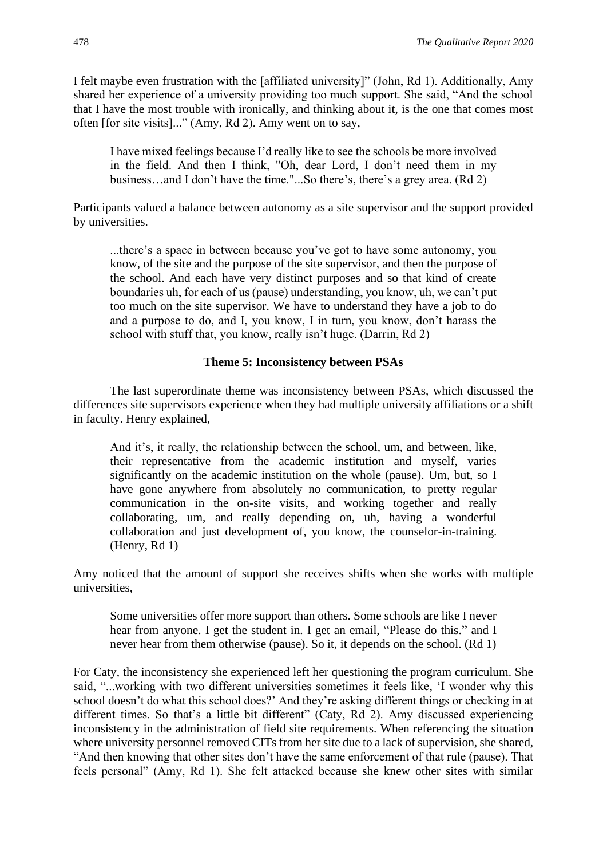I felt maybe even frustration with the [affiliated university]" (John, Rd 1). Additionally, Amy shared her experience of a university providing too much support. She said, "And the school that I have the most trouble with ironically, and thinking about it, is the one that comes most often [for site visits]..." (Amy, Rd 2). Amy went on to say,

I have mixed feelings because I'd really like to see the schools be more involved in the field. And then I think, "Oh, dear Lord, I don't need them in my business…and I don't have the time."...So there's, there's a grey area. (Rd 2)

Participants valued a balance between autonomy as a site supervisor and the support provided by universities.

...there's a space in between because you've got to have some autonomy, you know, of the site and the purpose of the site supervisor, and then the purpose of the school. And each have very distinct purposes and so that kind of create boundaries uh, for each of us (pause) understanding, you know, uh, we can't put too much on the site supervisor. We have to understand they have a job to do and a purpose to do, and I, you know, I in turn, you know, don't harass the school with stuff that, you know, really isn't huge. (Darrin, Rd 2)

#### **Theme 5: Inconsistency between PSAs**

The last superordinate theme was inconsistency between PSAs, which discussed the differences site supervisors experience when they had multiple university affiliations or a shift in faculty. Henry explained,

And it's, it really, the relationship between the school, um, and between, like, their representative from the academic institution and myself, varies significantly on the academic institution on the whole (pause). Um, but, so I have gone anywhere from absolutely no communication, to pretty regular communication in the on-site visits, and working together and really collaborating, um, and really depending on, uh, having a wonderful collaboration and just development of, you know, the counselor-in-training. (Henry, Rd 1)

Amy noticed that the amount of support she receives shifts when she works with multiple universities,

Some universities offer more support than others. Some schools are like I never hear from anyone. I get the student in. I get an email, "Please do this." and I never hear from them otherwise (pause). So it, it depends on the school. (Rd 1)

For Caty, the inconsistency she experienced left her questioning the program curriculum. She said, "...working with two different universities sometimes it feels like, 'I wonder why this school doesn't do what this school does?' And they're asking different things or checking in at different times. So that's a little bit different" (Caty, Rd 2). Amy discussed experiencing inconsistency in the administration of field site requirements. When referencing the situation where university personnel removed CITs from her site due to a lack of supervision, she shared, "And then knowing that other sites don't have the same enforcement of that rule (pause). That feels personal" (Amy, Rd 1). She felt attacked because she knew other sites with similar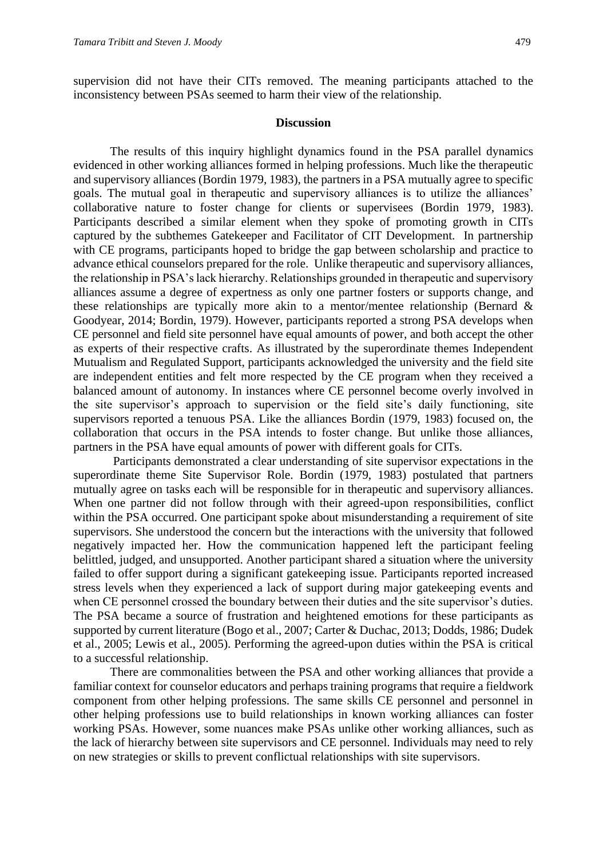supervision did not have their CITs removed. The meaning participants attached to the inconsistency between PSAs seemed to harm their view of the relationship.

#### **Discussion**

The results of this inquiry highlight dynamics found in the PSA parallel dynamics evidenced in other working alliances formed in helping professions. Much like the therapeutic and supervisory alliances (Bordin 1979, 1983), the partners in a PSA mutually agree to specific goals. The mutual goal in therapeutic and supervisory alliances is to utilize the alliances' collaborative nature to foster change for clients or supervisees (Bordin 1979, 1983). Participants described a similar element when they spoke of promoting growth in CITs captured by the subthemes Gatekeeper and Facilitator of CIT Development. In partnership with CE programs, participants hoped to bridge the gap between scholarship and practice to advance ethical counselors prepared for the role. Unlike therapeutic and supervisory alliances, the relationship in PSA's lack hierarchy. Relationships grounded in therapeutic and supervisory alliances assume a degree of expertness as only one partner fosters or supports change, and these relationships are typically more akin to a mentor/mentee relationship (Bernard & Goodyear, 2014; Bordin, 1979). However, participants reported a strong PSA develops when CE personnel and field site personnel have equal amounts of power, and both accept the other as experts of their respective crafts. As illustrated by the superordinate themes Independent Mutualism and Regulated Support, participants acknowledged the university and the field site are independent entities and felt more respected by the CE program when they received a balanced amount of autonomy. In instances where CE personnel become overly involved in the site supervisor's approach to supervision or the field site's daily functioning, site supervisors reported a tenuous PSA. Like the alliances Bordin (1979, 1983) focused on, the collaboration that occurs in the PSA intends to foster change. But unlike those alliances, partners in the PSA have equal amounts of power with different goals for CITs.

Participants demonstrated a clear understanding of site supervisor expectations in the superordinate theme Site Supervisor Role. Bordin (1979, 1983) postulated that partners mutually agree on tasks each will be responsible for in therapeutic and supervisory alliances. When one partner did not follow through with their agreed-upon responsibilities, conflict within the PSA occurred. One participant spoke about misunderstanding a requirement of site supervisors. She understood the concern but the interactions with the university that followed negatively impacted her. How the communication happened left the participant feeling belittled, judged, and unsupported. Another participant shared a situation where the university failed to offer support during a significant gatekeeping issue. Participants reported increased stress levels when they experienced a lack of support during major gatekeeping events and when CE personnel crossed the boundary between their duties and the site supervisor's duties. The PSA became a source of frustration and heightened emotions for these participants as supported by current literature (Bogo et al., 2007; Carter & Duchac, 2013; Dodds, 1986; Dudek et al., 2005; Lewis et al., 2005). Performing the agreed-upon duties within the PSA is critical to a successful relationship.

There are commonalities between the PSA and other working alliances that provide a familiar context for counselor educators and perhaps training programs that require a fieldwork component from other helping professions. The same skills CE personnel and personnel in other helping professions use to build relationships in known working alliances can foster working PSAs. However, some nuances make PSAs unlike other working alliances, such as the lack of hierarchy between site supervisors and CE personnel. Individuals may need to rely on new strategies or skills to prevent conflictual relationships with site supervisors.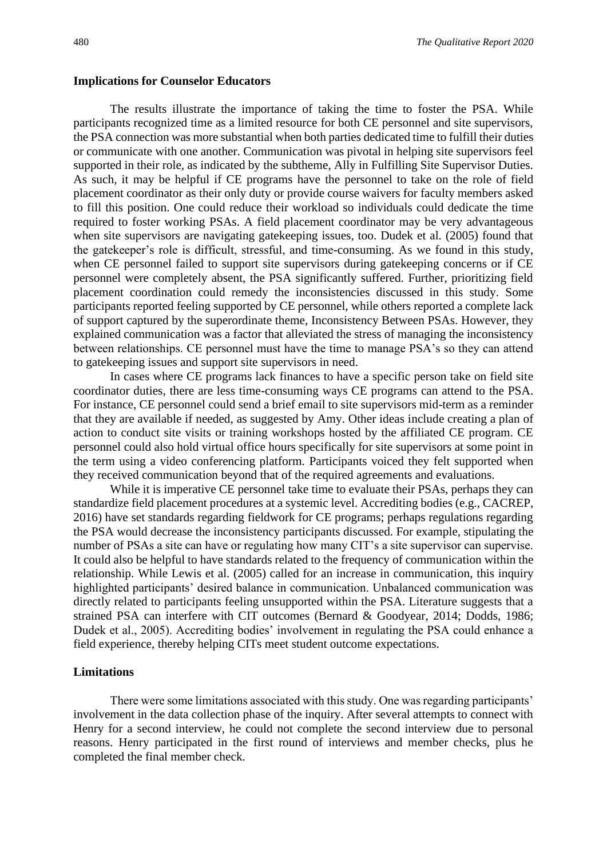#### **Implications for Counselor Educators**

The results illustrate the importance of taking the time to foster the PSA. While participants recognized time as a limited resource for both CE personnel and site supervisors, the PSA connection was more substantial when both parties dedicated time to fulfill their duties or communicate with one another. Communication was pivotal in helping site supervisors feel supported in their role, as indicated by the subtheme, Ally in Fulfilling Site Supervisor Duties. As such, it may be helpful if CE programs have the personnel to take on the role of field placement coordinator as their only duty or provide course waivers for faculty members asked to fill this position. One could reduce their workload so individuals could dedicate the time required to foster working PSAs. A field placement coordinator may be very advantageous when site supervisors are navigating gatekeeping issues, too. Dudek et al. (2005) found that the gatekeeper's role is difficult, stressful, and time-consuming. As we found in this study, when CE personnel failed to support site supervisors during gatekeeping concerns or if CE personnel were completely absent, the PSA significantly suffered. Further, prioritizing field placement coordination could remedy the inconsistencies discussed in this study. Some participants reported feeling supported by CE personnel, while others reported a complete lack of support captured by the superordinate theme, Inconsistency Between PSAs. However, they explained communication was a factor that alleviated the stress of managing the inconsistency between relationships. CE personnel must have the time to manage PSA's so they can attend to gatekeeping issues and support site supervisors in need.

In cases where CE programs lack finances to have a specific person take on field site coordinator duties, there are less time-consuming ways CE programs can attend to the PSA. For instance, CE personnel could send a brief email to site supervisors mid-term as a reminder that they are available if needed, as suggested by Amy. Other ideas include creating a plan of action to conduct site visits or training workshops hosted by the affiliated CE program. CE personnel could also hold virtual office hours specifically for site supervisors at some point in the term using a video conferencing platform. Participants voiced they felt supported when they received communication beyond that of the required agreements and evaluations.

While it is imperative CE personnel take time to evaluate their PSAs, perhaps they can standardize field placement procedures at a systemic level. Accrediting bodies (e.g., CACREP, 2016) have set standards regarding fieldwork for CE programs; perhaps regulations regarding the PSA would decrease the inconsistency participants discussed. For example, stipulating the number of PSAs a site can have or regulating how many CIT's a site supervisor can supervise. It could also be helpful to have standards related to the frequency of communication within the relationship. While Lewis et al. (2005) called for an increase in communication, this inquiry highlighted participants' desired balance in communication. Unbalanced communication was directly related to participants feeling unsupported within the PSA. Literature suggests that a strained PSA can interfere with CIT outcomes (Bernard & Goodyear, 2014; Dodds, 1986; Dudek et al., 2005). Accrediting bodies' involvement in regulating the PSA could enhance a field experience, thereby helping CITs meet student outcome expectations.

#### **Limitations**

There were some limitations associated with this study. One was regarding participants' involvement in the data collection phase of the inquiry. After several attempts to connect with Henry for a second interview, he could not complete the second interview due to personal reasons. Henry participated in the first round of interviews and member checks, plus he completed the final member check.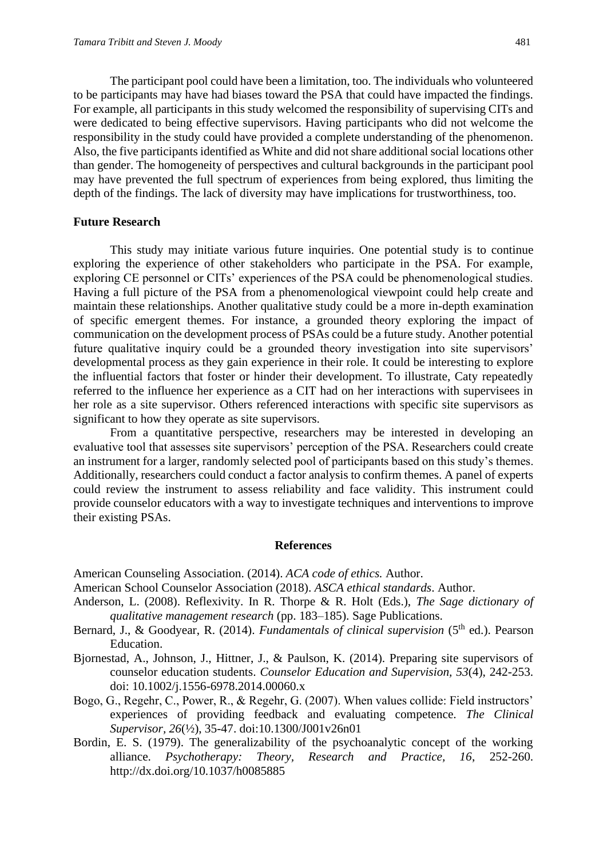The participant pool could have been a limitation, too. The individuals who volunteered to be participants may have had biases toward the PSA that could have impacted the findings. For example, all participants in this study welcomed the responsibility of supervising CITs and were dedicated to being effective supervisors. Having participants who did not welcome the responsibility in the study could have provided a complete understanding of the phenomenon. Also, the five participants identified as White and did not share additional social locations other than gender. The homogeneity of perspectives and cultural backgrounds in the participant pool may have prevented the full spectrum of experiences from being explored, thus limiting the depth of the findings. The lack of diversity may have implications for trustworthiness, too.

#### **Future Research**

This study may initiate various future inquiries. One potential study is to continue exploring the experience of other stakeholders who participate in the PSA. For example, exploring CE personnel or CITs' experiences of the PSA could be phenomenological studies. Having a full picture of the PSA from a phenomenological viewpoint could help create and maintain these relationships. Another qualitative study could be a more in-depth examination of specific emergent themes. For instance, a grounded theory exploring the impact of communication on the development process of PSAs could be a future study. Another potential future qualitative inquiry could be a grounded theory investigation into site supervisors' developmental process as they gain experience in their role. It could be interesting to explore the influential factors that foster or hinder their development. To illustrate, Caty repeatedly referred to the influence her experience as a CIT had on her interactions with supervisees in her role as a site supervisor. Others referenced interactions with specific site supervisors as significant to how they operate as site supervisors.

From a quantitative perspective, researchers may be interested in developing an evaluative tool that assesses site supervisors' perception of the PSA. Researchers could create an instrument for a larger, randomly selected pool of participants based on this study's themes. Additionally, researchers could conduct a factor analysis to confirm themes. A panel of experts could review the instrument to assess reliability and face validity. This instrument could provide counselor educators with a way to investigate techniques and interventions to improve their existing PSAs.

#### **References**

American Counseling Association. (2014). *ACA code of ethics.* Author.

- American School Counselor Association (2018). *ASCA ethical standards*. Author.
- Anderson, L. (2008). Reflexivity. In R. Thorpe & R. Holt (Eds.), *The Sage dictionary of qualitative management research* (pp. 183–185). Sage Publications.
- Bernard, J., & Goodyear, R. (2014). *Fundamentals of clinical supervision* (5<sup>th</sup> ed.). Pearson Education.
- Bjornestad, A., Johnson, J., Hittner, J., & Paulson, K. (2014). Preparing site supervisors of counselor education students. *Counselor Education and Supervision, 53*(4), 242-253. doi: 10.1002/j.1556-6978.2014.00060.x
- Bogo, G., Regehr, C., Power, R., & Regehr, G. (2007). When values collide: Field instructors' experiences of providing feedback and evaluating competence. *The Clinical Supervisor, 26*(½), 35-47. doi:10.1300/J001v26n01
- Bordin, E. S. (1979). The generalizability of the psychoanalytic concept of the working alliance. *Psychotherapy: Theory, Research and Practice, 16*, 252-260. http://dx.doi.org/10.1037/h0085885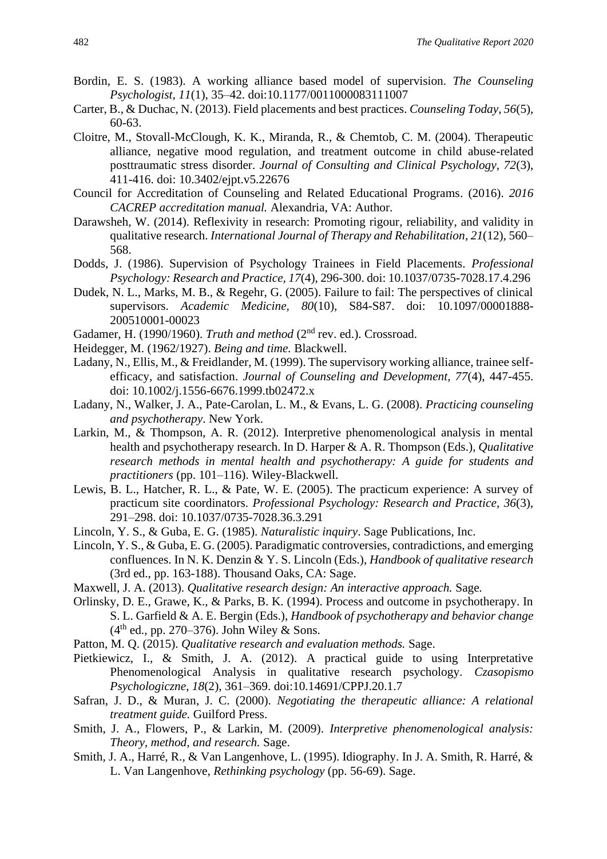- Bordin, E. S. (1983). A working alliance based model of supervision. *The Counseling Psychologist*, *11*(1), 35–42. doi:10.1177/0011000083111007
- Carter, B., & Duchac, N. (2013). Field placements and best practices. *Counseling Today, 56*(5), 60-63.
- Cloitre, M., Stovall-McClough, K. K., Miranda, R., & Chemtob, C. M. (2004). Therapeutic alliance, negative mood regulation, and treatment outcome in child abuse-related posttraumatic stress disorder. *Journal of Consulting and Clinical Psychology, 72*(3), 411-416. doi: 10.3402/ejpt.v5.22676
- Council for Accreditation of Counseling and Related Educational Programs. (2016). *2016 CACREP accreditation manual.* Alexandria, VA: Author.
- Darawsheh, W. (2014). Reflexivity in research: Promoting rigour, reliability, and validity in qualitative research. *International Journal of Therapy and Rehabilitation*, *21*(12), 560– 568.
- Dodds, J. (1986). Supervision of Psychology Trainees in Field Placements. *Professional Psychology: Research and Practice, 17*(4), 296-300. doi: 10.1037/0735-7028.17.4.296
- Dudek, N. L., Marks, M. B., & Regehr, G. (2005). Failure to fail: The perspectives of clinical supervisors. *Academic Medicine, 80*(10), S84-S87. doi: 10.1097/00001888- 200510001-00023
- Gadamer, H. (1990/1960). *Truth and method* (2<sup>nd</sup> rev. ed.). Crossroad.
- Heidegger, M. (1962/1927). *Being and time.* Blackwell.
- Ladany, N., Ellis, M., & Freidlander, M. (1999). The supervisory working alliance, trainee selfefficacy, and satisfaction. *Journal of Counseling and Development, 77*(4), 447-455. doi: 10.1002/j.1556-6676.1999.tb02472.x
- Ladany, N., Walker, J. A., Pate-Carolan, L. M., & Evans, L. G. (2008). *Practicing counseling and psychotherapy*. New York.
- Larkin, M., & Thompson, A. R. (2012). Interpretive phenomenological analysis in mental health and psychotherapy research. In D. Harper & A. R. Thompson (Eds.), *Qualitative research methods in mental health and psychotherapy: A guide for students and practitioners* (pp. 101–116). Wiley-Blackwell.
- Lewis, B. L., Hatcher, R. L., & Pate, W. E. (2005). The practicum experience: A survey of practicum site coordinators. *Professional Psychology: Research and Practice*, *36*(3), 291–298. doi: 10.1037/0735-7028.36.3.291
- Lincoln, Y. S., & Guba, E. G. (1985). *Naturalistic inquiry*. Sage Publications, Inc.
- Lincoln, Y. S., & Guba, E. G. (2005). Paradigmatic controversies, contradictions, and emerging confluences. In N. K. Denzin & Y. S. Lincoln (Eds.), *Handbook of qualitative research* (3rd ed., pp. 163-188). Thousand Oaks, CA: Sage.
- Maxwell, J. A. (2013). *Qualitative research design: An interactive approach.* Sage*.*
- Orlinsky, D. E., Grawe, K., & Parks, B. K. (1994). Process and outcome in psychotherapy. In S. L. Garfield & A. E. Bergin (Eds.), *Handbook of psychotherapy and behavior change*  $(4<sup>th</sup>$  ed., pp. 270–376). John Wiley & Sons.
- Patton, M. Q. (2015). *Qualitative research and evaluation methods.* Sage.
- Pietkiewicz, I., & Smith, J. A. (2012). A practical guide to using Interpretative Phenomenological Analysis in qualitative research psychology. *Czasopismo Psychologiczne*, *18*(2), 361–369. doi:10.14691/CPPJ.20.1.7
- Safran, J. D., & Muran, J. C. (2000). *Negotiating the therapeutic alliance: A relational treatment guide.* Guilford Press.
- Smith, J. A., Flowers, P., & Larkin, M. (2009). *Interpretive phenomenological analysis: Theory, method, and research.* Sage.
- Smith, J. A., Harré, R., & Van Langenhove, L. (1995). Idiography. In J. A. Smith, R. Harré, & L. Van Langenhove, *Rethinking psychology* (pp. 56-69). Sage.